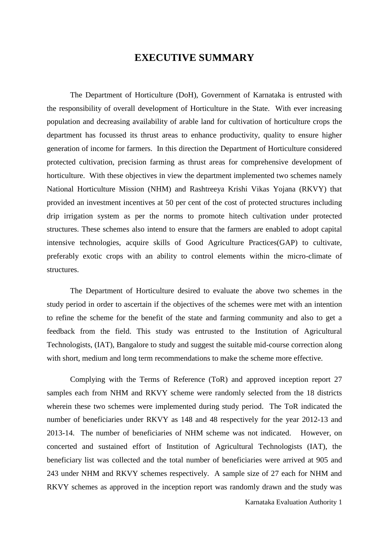## **EXECUTIVE SUMMARY**

The Department of Horticulture (DoH), Government of Karnataka is entrusted with the responsibility of overall development of Horticulture in the State. With ever increasing population and decreasing availability of arable land for cultivation of horticulture crops the department has focussed its thrust areas to enhance productivity, quality to ensure higher generation of income for farmers. In this direction the Department of Horticulture considered protected cultivation, precision farming as thrust areas for comprehensive development of horticulture. With these objectives in view the department implemented two schemes namely National Horticulture Mission (NHM) and Rashtreeya Krishi Vikas Yojana (RKVY) that provided an investment incentives at 50 per cent of the cost of protected structures including drip irrigation system as per the norms to promote hitech cultivation under protected structures. These schemes also intend to ensure that the farmers are enabled to adopt capital intensive technologies, acquire skills of Good Agriculture Practices(GAP) to cultivate, preferably exotic crops with an ability to control elements within the micro-climate of structures.

The Department of Horticulture desired to evaluate the above two schemes in the study period in order to ascertain if the objectives of the schemes were met with an intention to refine the scheme for the benefit of the state and farming community and also to get a feedback from the field. This study was entrusted to the Institution of Agricultural Technologists, (IAT), Bangalore to study and suggest the suitable mid-course correction along with short, medium and long term recommendations to make the scheme more effective.

Complying with the Terms of Reference (ToR) and approved inception report 27 samples each from NHM and RKVY scheme were randomly selected from the 18 districts wherein these two schemes were implemented during study period. The ToR indicated the number of beneficiaries under RKVY as 148 and 48 respectively for the year 2012-13 and 2013-14. The number of beneficiaries of NHM scheme was not indicated. However, on concerted and sustained effort of Institution of Agricultural Technologists (IAT), the beneficiary list was collected and the total number of beneficiaries were arrived at 905 and 243 under NHM and RKVY schemes respectively. A sample size of 27 each for NHM and RKVY schemes as approved in the inception report was randomly drawn and the study was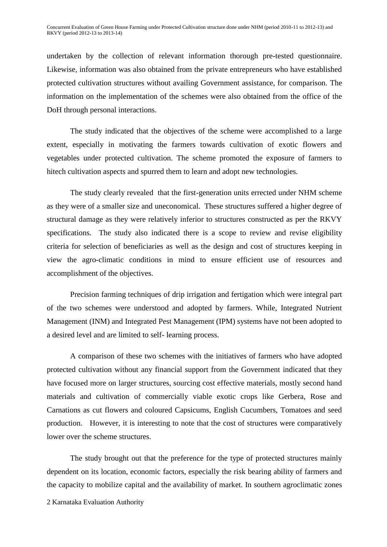undertaken by the collection of relevant information thorough pre-tested questionnaire. Likewise, information was also obtained from the private entrepreneurs who have established protected cultivation structures without availing Government assistance, for comparison. The information on the implementation of the schemes were also obtained from the office of the DoH through personal interactions.

The study indicated that the objectives of the scheme were accomplished to a large extent, especially in motivating the farmers towards cultivation of exotic flowers and vegetables under protected cultivation. The scheme promoted the exposure of farmers to hitech cultivation aspects and spurred them to learn and adopt new technologies.

The study clearly revealed that the first-generation units errected under NHM scheme as they were of a smaller size and uneconomical. These structures suffered a higher degree of structural damage as they were relatively inferior to structures constructed as per the RKVY specifications. The study also indicated there is a scope to review and revise eligibility criteria for selection of beneficiaries as well as the design and cost of structures keeping in view the agro-climatic conditions in mind to ensure efficient use of resources and accomplishment of the objectives.

Precision farming techniques of drip irrigation and fertigation which were integral part of the two schemes were understood and adopted by farmers. While, Integrated Nutrient Management (INM) and Integrated Pest Management (IPM) systems have not been adopted to a desired level and are limited to self- learning process.

A comparison of these two schemes with the initiatives of farmers who have adopted protected cultivation without any financial support from the Government indicated that they have focused more on larger structures, sourcing cost effective materials, mostly second hand materials and cultivation of commercially viable exotic crops like Gerbera, Rose and Carnations as cut flowers and coloured Capsicums, English Cucumbers, Tomatoes and seed production. However, it is interesting to note that the cost of structures were comparatively lower over the scheme structures.

The study brought out that the preference for the type of protected structures mainly dependent on its location, economic factors, especially the risk bearing ability of farmers and the capacity to mobilize capital and the availability of market. In southern agroclimatic zones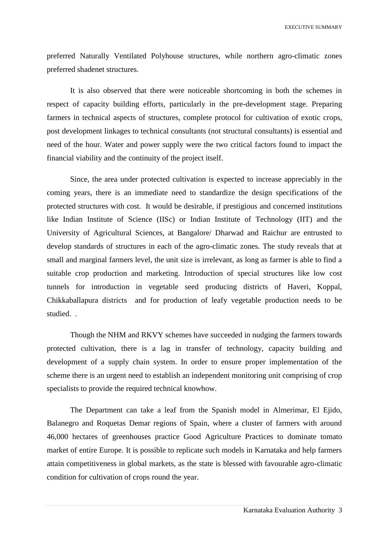EXECUTIVE SUMMARY

preferred Naturally Ventilated Polyhouse structures, while northern agro-climatic zones preferred shadenet structures.

It is also observed that there were noticeable shortcoming in both the schemes in respect of capacity building efforts, particularly in the pre-development stage. Preparing farmers in technical aspects of structures, complete protocol for cultivation of exotic crops, post development linkages to technical consultants (not structural consultants) is essential and need of the hour. Water and power supply were the two critical factors found to impact the financial viability and the continuity of the project itself.

Since, the area under protected cultivation is expected to increase appreciably in the coming years, there is an immediate need to standardize the design specifications of the protected structures with cost. It would be desirable, if prestigious and concerned institutions like Indian Institute of Science (IISc) or Indian Institute of Technology (IIT) and the University of Agricultural Sciences, at Bangalore/ Dharwad and Raichur are entrusted to develop standards of structures in each of the agro-climatic zones. The study reveals that at small and marginal farmers level, the unit size is irrelevant, as long as farmer is able to find a suitable crop production and marketing. Introduction of special structures like low cost tunnels for introduction in vegetable seed producing districts of Haveri, Koppal, Chikkaballapura districts and for production of leafy vegetable production needs to be studied. .

Though the NHM and RKVY schemes have succeeded in nudging the farmers towards protected cultivation, there is a lag in transfer of technology, capacity building and development of a supply chain system. In order to ensure proper implementation of the scheme there is an urgent need to establish an independent monitoring unit comprising of crop specialists to provide the required technical knowhow.

The Department can take a leaf from the Spanish model in Almerimar, El Ejido, Balanegro and Roquetas Demar regions of Spain, where a cluster of farmers with around 46,000 hectares of greenhouses practice Good Agriculture Practices to dominate tomato market of entire Europe. It is possible to replicate such models in Karnataka and help farmers attain competitiveness in global markets, as the state is blessed with favourable agro-climatic condition for cultivation of crops round the year.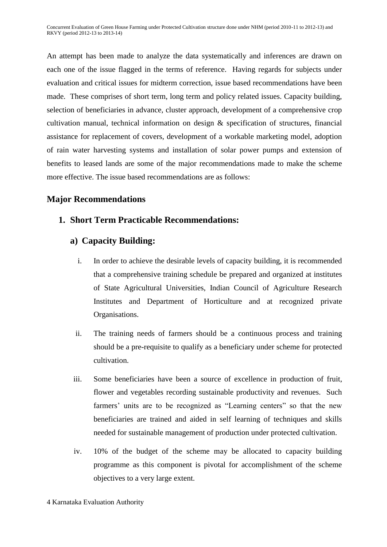An attempt has been made to analyze the data systematically and inferences are drawn on each one of the issue flagged in the terms of reference. Having regards for subjects under evaluation and critical issues for midterm correction, issue based recommendations have been made. These comprises of short term, long term and policy related issues. Capacity building, selection of beneficiaries in advance, cluster approach, development of a comprehensive crop cultivation manual, technical information on design & specification of structures, financial assistance for replacement of covers, development of a workable marketing model, adoption of rain water harvesting systems and installation of solar power pumps and extension of benefits to leased lands are some of the major recommendations made to make the scheme more effective. The issue based recommendations are as follows:

## **Major Recommendations**

## **1. Short Term Practicable Recommendations:**

## **a) Capacity Building:**

- i. In order to achieve the desirable levels of capacity building, it is recommended that a comprehensive training schedule be prepared and organized at institutes of State Agricultural Universities, Indian Council of Agriculture Research Institutes and Department of Horticulture and at recognized private Organisations.
- ii. The training needs of farmers should be a continuous process and training should be a pre-requisite to qualify as a beneficiary under scheme for protected cultivation.
- iii. Some beneficiaries have been a source of excellence in production of fruit, flower and vegetables recording sustainable productivity and revenues. Such farmers' units are to be recognized as "Learning centers" so that the new beneficiaries are trained and aided in self learning of techniques and skills needed for sustainable management of production under protected cultivation.
- iv. 10% of the budget of the scheme may be allocated to capacity building programme as this component is pivotal for accomplishment of the scheme objectives to a very large extent.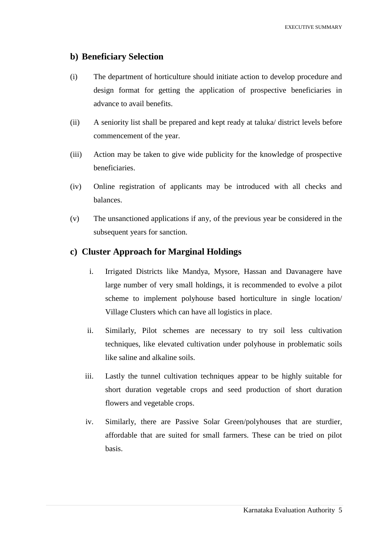### **b) Beneficiary Selection**

- (i) The department of horticulture should initiate action to develop procedure and design format for getting the application of prospective beneficiaries in advance to avail benefits.
- (ii) A seniority list shall be prepared and kept ready at taluka/ district levels before commencement of the year.
- (iii) Action may be taken to give wide publicity for the knowledge of prospective beneficiaries.
- (iv) Online registration of applicants may be introduced with all checks and balances.
- (v) The unsanctioned applications if any, of the previous year be considered in the subsequent years for sanction.

### **c) Cluster Approach for Marginal Holdings**

- i. Irrigated Districts like Mandya, Mysore, Hassan and Davanagere have large number of very small holdings, it is recommended to evolve a pilot scheme to implement polyhouse based horticulture in single location/ Village Clusters which can have all logistics in place.
- ii. Similarly, Pilot schemes are necessary to try soil less cultivation techniques, like elevated cultivation under polyhouse in problematic soils like saline and alkaline soils.
- iii. Lastly the tunnel cultivation techniques appear to be highly suitable for short duration vegetable crops and seed production of short duration flowers and vegetable crops.
- iv. Similarly, there are Passive Solar Green/polyhouses that are sturdier, affordable that are suited for small farmers. These can be tried on pilot basis.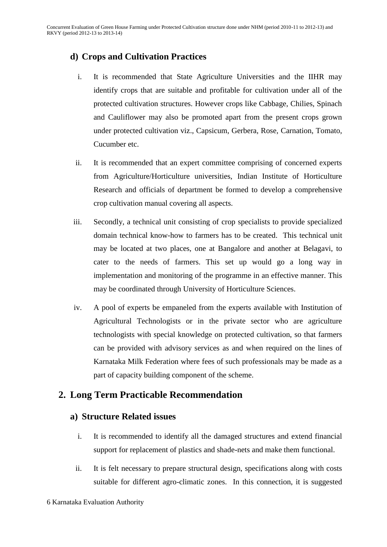# **d) Crops and Cultivation Practices**

- i. It is recommended that State Agriculture Universities and the IIHR may identify crops that are suitable and profitable for cultivation under all of the protected cultivation structures. However crops like Cabbage, Chilies, Spinach and Cauliflower may also be promoted apart from the present crops grown under protected cultivation viz., Capsicum, Gerbera, Rose, Carnation, Tomato, Cucumber etc.
- ii. It is recommended that an expert committee comprising of concerned experts from Agriculture/Horticulture universities, Indian Institute of Horticulture Research and officials of department be formed to develop a comprehensive crop cultivation manual covering all aspects.
- iii. Secondly, a technical unit consisting of crop specialists to provide specialized domain technical know-how to farmers has to be created. This technical unit may be located at two places, one at Bangalore and another at Belagavi, to cater to the needs of farmers. This set up would go a long way in implementation and monitoring of the programme in an effective manner. This may be coordinated through University of Horticulture Sciences.
- iv. A pool of experts be empaneled from the experts available with Institution of Agricultural Technologists or in the private sector who are agriculture technologists with special knowledge on protected cultivation, so that farmers can be provided with advisory services as and when required on the lines of Karnataka Milk Federation where fees of such professionals may be made as a part of capacity building component of the scheme.

# **2. Long Term Practicable Recommendation**

## **a) Structure Related issues**

- i. It is recommended to identify all the damaged structures and extend financial support for replacement of plastics and shade-nets and make them functional.
- ii. It is felt necessary to prepare structural design, specifications along with costs suitable for different agro-climatic zones. In this connection, it is suggested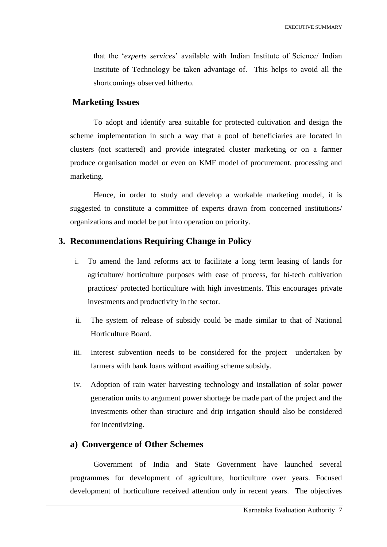that the "*experts services*" available with Indian Institute of Science/ Indian Institute of Technology be taken advantage of. This helps to avoid all the shortcomings observed hitherto.

#### **Marketing Issues**

To adopt and identify area suitable for protected cultivation and design the scheme implementation in such a way that a pool of beneficiaries are located in clusters (not scattered) and provide integrated cluster marketing or on a farmer produce organisation model or even on KMF model of procurement, processing and marketing.

Hence, in order to study and develop a workable marketing model, it is suggested to constitute a committee of experts drawn from concerned institutions/ organizations and model be put into operation on priority.

#### **3. Recommendations Requiring Change in Policy**

- i. To amend the land reforms act to facilitate a long term leasing of lands for agriculture/ horticulture purposes with ease of process, for hi-tech cultivation practices/ protected horticulture with high investments. This encourages private investments and productivity in the sector.
- ii. The system of release of subsidy could be made similar to that of National Horticulture Board.
- iii. Interest subvention needs to be considered for the project undertaken by farmers with bank loans without availing scheme subsidy.
- iv. Adoption of rain water harvesting technology and installation of solar power generation units to argument power shortage be made part of the project and the investments other than structure and drip irrigation should also be considered for incentivizing.

### **a) Convergence of Other Schemes**

Government of India and State Government have launched several programmes for development of agriculture, horticulture over years. Focused development of horticulture received attention only in recent years. The objectives